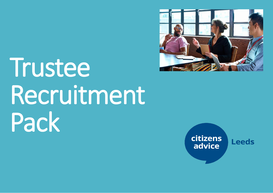

# Trustee Recruitment Pack

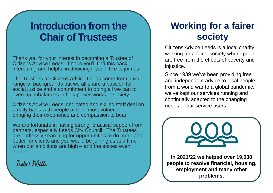## **Introduction from the Chair of Trustees**

Thank you for your interest in becoming a Trustee of Citizens Advice Leeds. I hope you'll find this pack interesting and helpful in deciding if you'd like to join us.

The Trustees at Citizens Advice Leeds come from a wide range of backgrounds but we all share a passion for social justice and a commitment to doing all we can to even up imbalances in how power works in society.

Citizens Advice Leeds' dedicated and skilled staff deal on a daily basis with people at their most vulnerable, bringing their experience and compassion to bear.

We are fortunate in having strong, practical support from partners, especially Leeds City Council. The Trustees are endlessly searching for opportunities to do more and better for clients and you would be joining us at a time when our ambitions are high – and the stakes even higher.

**Isobel Mills**

### **Working for a fairer society**

Citizens Advice Leeds is a local charity working for a fairer society where people are free from the effects of poverty and injustice.

Since 1939 we've been providing free and independent advice to local people – from a world war to a global pandemic, we've kept our services running and continually adapted to the changing needs of our service users.



**In 2021/22 we helped over 19,000 people to resolve financial, housing, employment and many other problems.**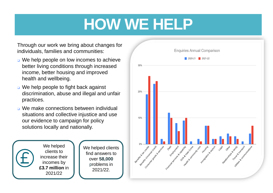# **HOW WE HELP**

Through our work we bring about changes for individuals, families and communities:

- ❑ We help people on low incomes to achieve better living conditions through increased income, better housing and improved health and wellbeing.
- ❑ We help people to fight back against discrimination, abuse and illegal and unfair practices.
- ❑ We make connections between individual situations and collective injustice and use our evidence to campaign for policy solutions locally and nationally.



We helped clients find answers to over **58,000**  problems in 2021/22.

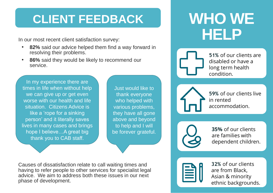# **CLIENT FEEDBACK**

In our most recent client satisfaction survey:

- **82%** said our advice helped them find a way forward in resolving their problems.
- **86%** said they would be likely to recommend our service.

In my experience there are times in life when without help we can give up or get even worse with our health and life situation. Citizens Advice is like a 'rope for a sinking person' and it literally saves lives in many cases and brings hope I believe…A great big thank you to CAB staff.

Just would like to thank everyone who helped with various problems, they have all gone above and beyond to help and I will be forever grateful. **WHO WE HELP**

> **51%** of our clients are disabled or have a long term health condition.



**59%** of our clients live in rented accommodation.



**35%** of our clients are families with dependent children.

**32%** of our clients are from Black, Asian & minority ethnic backgrounds.

Causes of dissatisfaction relate to call waiting times and having to refer people to other services for specialist legal advice. We aim to address both these issues in our next phase of development.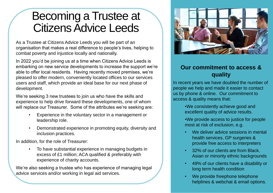# Becoming a Trustee at Citizens Advice Leeds

As a Trustee at Citizens Advice Leeds you will be part of an organisation that makes a real difference to people's lives, helping to combat poverty and injustice locally and nationally.

In 2022 you'd be joining us at a time when Citizens Advice Leeds is embarking on new service developments to increase the support we're able to offer local residents. Having recently moved premises, we're pleased to offer modern, conveniently located offices to our services users and staff, which provide an ideal base for our next phase of development.

We're seeking 3 new trustees to join us who have the skills and experience to help drive forward these developments, one of whom will replace our Treasurer. Some of the attributes we're seeking are:

- Experience in the voluntary sector in a management or leadership role.
- Demonstrated experience in promoting equity, diversity and inclusion practices.

In addition, for the role of Treasurer:

• To have substantial experience in managing budgets in excess of £1 million; ACA qualified & preferably with experience of charity accounts.

We're also seeking a trustee who has experience of managing legal advice services and/or working in legal aid services.



#### **Our commitment to access & quality**

In recent years we have doubled the number of people we help and made it easier to contact us by phone & online. Our commitment to access & quality means that:

> •We consistently achieve good and excellent quality of advice results.

•We provide access to justice for people most at risk of exclusion, e.g.

- We deliver advice sessions in mental health services, GP surgeries & provide free access to interpreters
- 32% of our clients are from Black. Asian or minority ethnic backgrounds
- 49% of our clients have a disability or long term health condition
- We provide freephone telephone helplines & webchat & email options.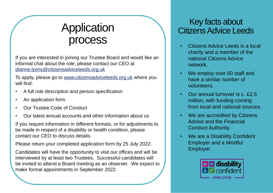# **Application** process **• Citizens Advice Leeds is a local**

If you are interested in joining our Trustee Board and would like an informal chat about the role, please contact our CEO at [dianne.lyons@citizensadviceleeds.org.uk](mailto:dianne.lyons@citizensadviceleeds.org.uk)

To apply, please go to [www.citizensadviceleeds.org.uk](http://www.citizensadviceleeds.org.uk/) where you will find:

- A full role description and person specification
- An application form
- Our Trustee Code of Conduct
- Our latest annual accounts and other information about us

If you require information in different formats, or for adjustments to be made in respect of a disability or health condition, please contact our CEO to discuss details.

Please return your completed application form by 25 July 2022.

Candidates will have the opportunity to visit our offices and will be interviewed by at least two Trustees. Successful candidates will be invited to attend a Board meeting as an observer. We expect to make formal appointments in September 2022.

#### Key facts about Citizens Advice Leeds

- charity and a member of the national Citizens Advice network.
- We employ over 60 staff and have a similar number of volunteers.
- Our annual turnover is c. £2.5 million, with funding coming from local and national sources.
- We are accredited by Citizens Advice and the Financial Conduct Authority.
- We are a Disability Confident Employer and a Mindful Employer.